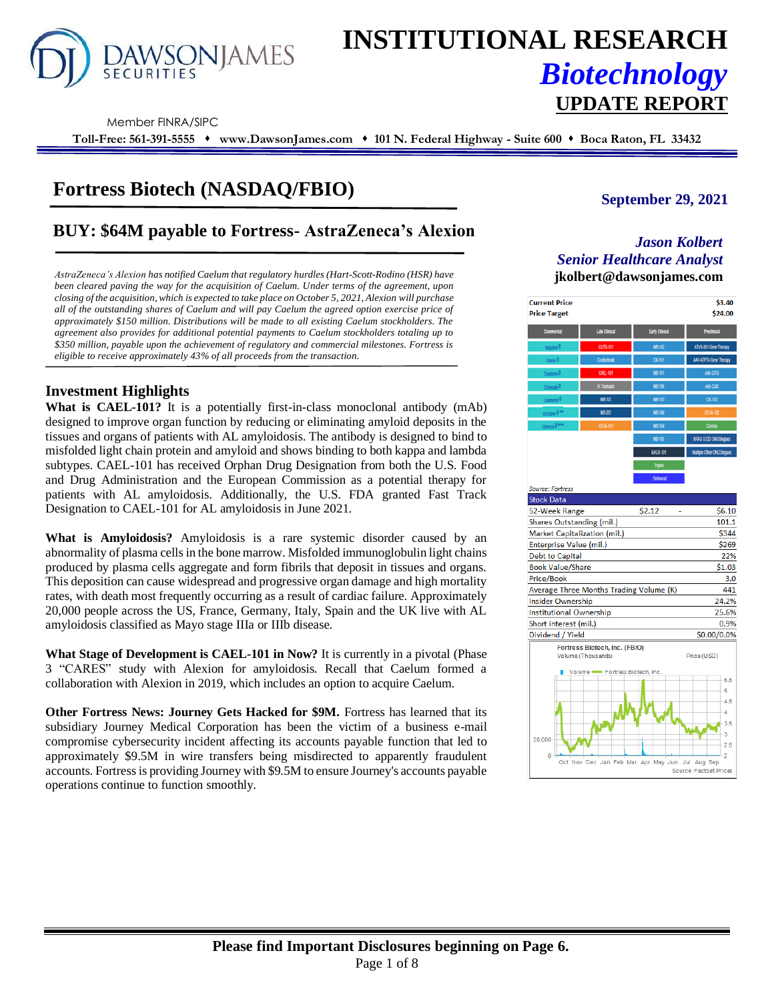

# **INSTITUTIONAL RESEARCH** *Biotechnology* **UPDATE REPORT**

Member FINRA/SIPC

**Toll-Free: 561-391-5555** ⬧ **www.DawsonJames.com** ⬧ **101 N. Federal Highway - Suite 600** ⬧ **Boca Raton, FL 33432**

# **Fortress Biotech (NASDAQ/FBIO)**

# **BUY: \$64M payable to Fortress- AstraZeneca's Alexion** *Jason Kolbert*

*AstraZeneca's Alexion has notified Caelum that regulatory hurdles (Hart-Scott-Rodino (HSR) have* **jkolbert@dawsonjames.com** *been cleared paving the way for the acquisition of Caelum. Under terms of the agreement, upon closing of the acquisition, which is expected to take place on October 5, 2021, Alexion will purchase all of the outstanding shares of Caelum and will pay Caelum the agreed option exercise price of approximately \$150 million. Distributions will be made to all existing Caelum stockholders. The agreement also provides for additional potential payments to Caelum stockholders totaling up to \$350 million, payable upon the achievement of regulatory and commercial milestones. Fortress is eligible to receive approximately 43% of all proceeds from the transaction.*

# **Investment Highlights**

**What is CAEL-101?** It is a potentially first-in-class monoclonal antibody (mAb) designed to improve organ function by reducing or eliminating amyloid deposits in the tissues and organs of patients with AL amyloidosis. The antibody is designed to bind to misfolded light chain protein and amyloid and shows binding to both kappa and lambda subtypes. CAEL-101 has received Orphan Drug Designation from both the U.S. Food and Drug Administration and the European Commission as a potential therapy for patients with AL amyloidosis. Additionally, the U.S. FDA granted Fast Track Designation to CAEL-101 for AL amyloidosis in June 2021.

**What is Amyloidosis?** Amyloidosis is a rare systemic disorder caused by an abnormality of plasma cells in the bone marrow. Misfolded immunoglobulin light chains produced by plasma cells aggregate and form fibrils that deposit in tissues and organs. This deposition can cause widespread and progressive organ damage and high mortality rates, with death most frequently occurring as a result of cardiac failure. Approximately 20,000 people across the US, France, Germany, Italy, Spain and the UK live with AL amyloidosis classified as Mayo stage IIIa or IIIb disease.

**What Stage of Development is CAEL-101 in Now?** It is currently in a pivotal (Phase 3 "CARES" study with Alexion for amyloidosis. Recall that Caelum formed a collaboration with Alexion in 2019, which includes an option to acquire Caelum.

**Other Fortress News: Journey Gets Hacked for \$9M.** Fortress has learned that its subsidiary Journey Medical Corporation has been the victim of a business e-mail compromise cybersecurity incident affecting its accounts payable function that led to approximately \$9.5M in wire transfers being misdirected to apparently fraudulent accounts. Fortress is providing Journey with \$9.5M to ensure Journey's accounts payable operations continue to function smoothly.

# **September 29, 2021**

# *Senior Healthcare Analyst*

| <b>Current Price</b><br><b>Price Target</b>    |                                                     |                  | \$3.40<br>\$24.00             |  |  |  |  |  |
|------------------------------------------------|-----------------------------------------------------|------------------|-------------------------------|--|--|--|--|--|
| Commercial                                     | Late Clinical                                       | Early Clinical   | Preclinical                   |  |  |  |  |  |
|                                                | <b>CUTX-101</b>                                     | MB-102           | ATVS-001 Gene Therapy         |  |  |  |  |  |
| <b>Ymino®</b>                                  | Cosbelmab                                           | <b>CK-101</b>    | <b>AAV-ATP7A Gene Therapy</b> |  |  |  |  |  |
| Exekterm <sup>®</sup>                          | CAEL-101                                            | MB-101           | Anti-GITR                     |  |  |  |  |  |
| Ceracade <sup>®</sup>                          | IV Tramadoi                                         | MB-106           | Anti-CAIX                     |  |  |  |  |  |
| Luxamend <sup>®</sup>                          | MB-107                                              | MB-103           | <b>CK-103</b>                 |  |  |  |  |  |
| Accutane <sup>®**</sup>                        | MB-207                                              | MB-108           | <b>CEVA-10</b>                |  |  |  |  |  |
| Obresza @ ###                                  | <b>CEVA-101</b>                                     | MB-104           | ConVax                        |  |  |  |  |  |
|                                                |                                                     | MB-105           | KRAS G12D ONCOlogues          |  |  |  |  |  |
|                                                |                                                     | <b>BAER-101</b>  | Multple Other ONCOlogues      |  |  |  |  |  |
|                                                |                                                     | Triplex          |                               |  |  |  |  |  |
|                                                |                                                     | <b>Dolinurad</b> |                               |  |  |  |  |  |
| <b>Source: Fortress</b>                        |                                                     |                  |                               |  |  |  |  |  |
| <b>Stock Data</b>                              |                                                     |                  |                               |  |  |  |  |  |
| 52-Week Range                                  |                                                     | \$2.12           | \$6.10                        |  |  |  |  |  |
| Shares Outstanding (mil.)                      |                                                     |                  | 101.1                         |  |  |  |  |  |
| Market Capitalization (mil.)                   |                                                     |                  | \$344                         |  |  |  |  |  |
| Enterprise Value (mil.)                        |                                                     |                  | \$269                         |  |  |  |  |  |
| <b>Debt to Capital</b>                         |                                                     |                  | 22%                           |  |  |  |  |  |
| <b>Book Value/Share</b>                        |                                                     |                  | \$1.03                        |  |  |  |  |  |
| Price/Book<br>3.0                              |                                                     |                  |                               |  |  |  |  |  |
| Average Three Months Trading Volume (K)<br>441 |                                                     |                  |                               |  |  |  |  |  |
| 24.2%<br><b>Insider Ownership</b>              |                                                     |                  |                               |  |  |  |  |  |
| <b>Institutional Ownership</b><br>25.6%        |                                                     |                  |                               |  |  |  |  |  |
| Short interest (mil.)                          |                                                     |                  | 0.9%                          |  |  |  |  |  |
| Dividend / Yield                               |                                                     |                  | \$0.00/0.0%                   |  |  |  |  |  |
|                                                | Fortress Biotech, Inc. (FBIO)<br>Volume (Thousands) |                  | Price (USD)                   |  |  |  |  |  |
|                                                | Volume - Fortress Biotech, Inc.                     |                  |                               |  |  |  |  |  |
|                                                |                                                     |                  | 5.5                           |  |  |  |  |  |
|                                                |                                                     |                  | 5<br>4.5                      |  |  |  |  |  |
|                                                |                                                     |                  | 4                             |  |  |  |  |  |
|                                                |                                                     |                  | 3.5                           |  |  |  |  |  |
|                                                |                                                     |                  | 3                             |  |  |  |  |  |
| 20,000                                         |                                                     |                  | 2.5                           |  |  |  |  |  |
| 0                                              |                                                     |                  | $\cdot$ 2                     |  |  |  |  |  |
|                                                | Oct Nov Dec Jan Feb Mar Apr May Jun Jul Aug Sep     |                  | Source: FactSet Prices        |  |  |  |  |  |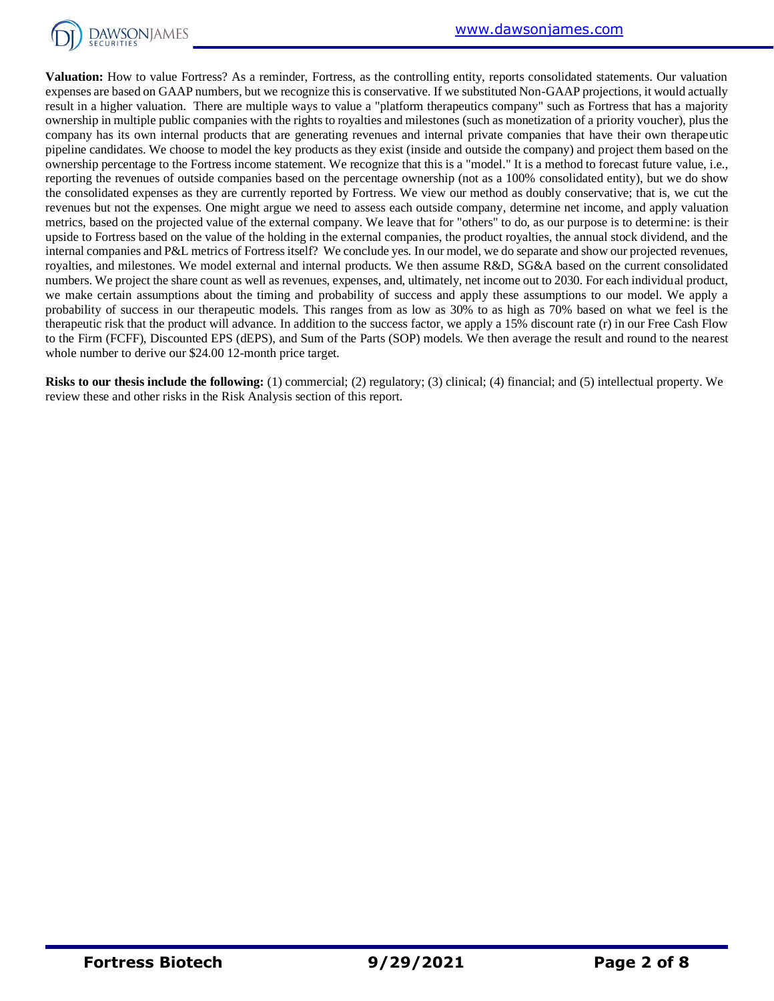

**Valuation:** How to value Fortress? As a reminder, Fortress, as the controlling entity, reports consolidated statements. Our valuation expenses are based on GAAP numbers, but we recognize this is conservative. If we substituted Non-GAAP projections, it would actually result in a higher valuation. There are multiple ways to value a "platform therapeutics company" such as Fortress that has a majority ownership in multiple public companies with the rights to royalties and milestones (such as monetization of a priority voucher), plus the company has its own internal products that are generating revenues and internal private companies that have their own therapeutic pipeline candidates. We choose to model the key products as they exist (inside and outside the company) and project them based on the ownership percentage to the Fortress income statement. We recognize that this is a "model." It is a method to forecast future value, i.e., reporting the revenues of outside companies based on the percentage ownership (not as a 100% consolidated entity), but we do show the consolidated expenses as they are currently reported by Fortress. We view our method as doubly conservative; that is, we cut the revenues but not the expenses. One might argue we need to assess each outside company, determine net income, and apply valuation metrics, based on the projected value of the external company. We leave that for "others" to do, as our purpose is to determine: is their upside to Fortress based on the value of the holding in the external companies, the product royalties, the annual stock dividend, and the internal companies and P&L metrics of Fortress itself? We conclude yes. In our model, we do separate and show our projected revenues, royalties, and milestones. We model external and internal products. We then assume R&D, SG&A based on the current consolidated numbers. We project the share count as well as revenues, expenses, and, ultimately, net income out to 2030. For each individual product, we make certain assumptions about the timing and probability of success and apply these assumptions to our model. We apply a probability of success in our therapeutic models. This ranges from as low as 30% to as high as 70% based on what we feel is the therapeutic risk that the product will advance. In addition to the success factor, we apply a 15% discount rate (r) in our Free Cash Flow to the Firm (FCFF), Discounted EPS (dEPS), and Sum of the Parts (SOP) models. We then average the result and round to the nearest whole number to derive our \$24.00 12-month price target.

**Risks to our thesis include the following:** (1) commercial; (2) regulatory; (3) clinical; (4) financial; and (5) intellectual property. We review these and other risks in the Risk Analysis section of this report.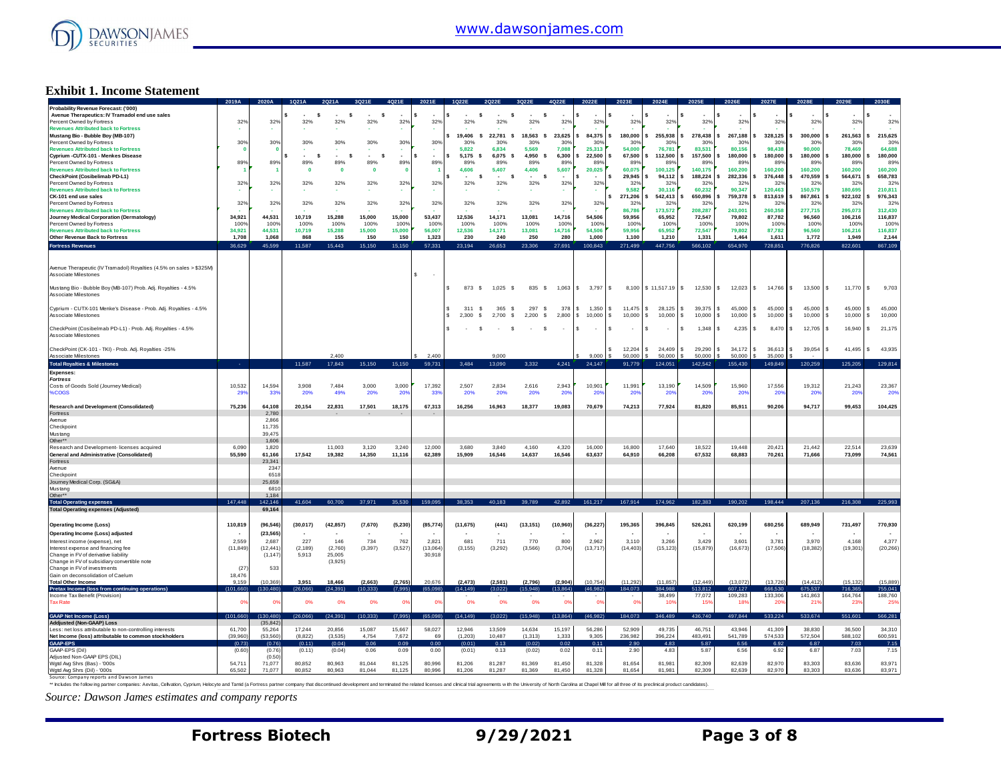

#### **Exhibit 1. Income Statement**

|                                                                                                                                                                                                                                | 2019A           | 2020A        |           |           |            |                 |            |               |                |                     |                 |                |                    |                           |                           |                 |                |                            |                       |                |
|--------------------------------------------------------------------------------------------------------------------------------------------------------------------------------------------------------------------------------|-----------------|--------------|-----------|-----------|------------|-----------------|------------|---------------|----------------|---------------------|-----------------|----------------|--------------------|---------------------------|---------------------------|-----------------|----------------|----------------------------|-----------------------|----------------|
| Probability Revenue Forecast: ('000)                                                                                                                                                                                           |                 |              |           |           |            |                 |            |               |                |                     |                 |                |                    |                           |                           |                 |                |                            |                       |                |
| Avenue Therapeutics: IV Tramadol end use sales<br>Percent Owned by Fortress                                                                                                                                                    | 32%             | 32%          | s<br>32%  | s<br>32%  | s<br>32%   | 32%             | \$.<br>32% | -S<br>32%     | -S<br>32%      | $\mathbf{s}$<br>32% | 32%             | 329            | 32%                | 32%                       | 32%                       | 32%             | 32%            | 329                        | 329                   | 32%            |
| <b>Revenues Attributed back to Fortress</b>                                                                                                                                                                                    |                 |              |           |           |            |                 |            |               |                |                     |                 |                |                    |                           |                           |                 |                |                            |                       |                |
| Mustang Bio - Bubble Boy (MB-107)                                                                                                                                                                                              |                 |              |           |           |            |                 |            | 19,406<br>- S | 22.781<br>-S   | 18.563 \$           | 23.625          | 84.375         | 180.000            | 255,938                   | 278,438<br>s              | 267.188         | 328.125        | 300,000<br>s               | 261.563               | 215.625<br>s.  |
| Percent Owned by Fortress                                                                                                                                                                                                      | 30%             | 30%          | 30%       | 30%       | 30%        | 30%             | 30%        | 30%           | 30%            | 30%                 | 30%             | $30^\circ$     | 30%                | 30%                       | $30^\circ$                | 30%             | 30%            | 30 <sup>o</sup>            | 30 <sup>°</sup>       | 30%            |
| <b>Revenues Attributed back to Fortress</b>                                                                                                                                                                                    |                 |              |           |           |            |                 |            | 5,822         | 6.834          | 5.569               | 7,088           | 25,313         | 54,000             | 76,781                    | 83,531                    | 80.156          | 98,438         | 90,000                     | 78,469                | 64,688         |
| Cvprium -CUTX-101 - Menkes Disease                                                                                                                                                                                             |                 |              | - \$      | s         | . .<br>- 5 | $\sim$          | $\sim$     | $5.175$ \$    | 6.075<br>- \$  | 4.950 S             | 6.300           | 22.500         | 67,500             | 112,500                   | 157,500                   | 180,000         | 180.000        | 180,000<br>s               | 180,000               | 180,000<br>s.  |
| Percent Owned by Fortress                                                                                                                                                                                                      | 89%             | 89%          | 89%       | 89%       | 89%        | 89%             | 89%        | 89%           | 89%            | 89%                 | 89%             | 89%            | 89%                | 89%                       | 89%                       | 89°             | 89%            | 89                         | 89                    | 89%            |
| <b>Revenues Attributed back to Fortress</b>                                                                                                                                                                                    |                 |              | - 0       | - 0       | $\Omega$   |                 |            | 4,606         | 5,407          | 4,406               | 5,607           | 20,025         | 60.075             | 100.125                   | 140,175                   | 160,200         | 160,200        | 160,200                    | 160,200               | 160,200        |
| CheckPoint (Cosibelimab PD-L1)                                                                                                                                                                                                 |                 |              |           |           |            |                 |            | s.<br>$\sim$  | $\sim$<br>- \$ | $\sim$<br>s         | $\sim$          | $\sim$         | 29,945             | 94.112                    | 188,224                   | 282.336         | 376,448        | 470.559                    | 564.671               | 658,783<br>s   |
| Percent Owned by Fortress<br><b>Revenues Attributed back to Fortress</b>                                                                                                                                                       | 32%             | 32%          | 32%       | 32%       | 32%        | 32%             | 32%        | 32%           | 32%            | 32%                 | 32%             | 32%            | 32%<br>9,582       | 32%<br>30.116             | 32 <sup>°</sup><br>60.232 | 32%<br>90.347   | 32%<br>120.463 | 32 <sup>o</sup><br>150,579 | $32^\circ$<br>180,695 | 329<br>210.811 |
| CK-101 end use sales                                                                                                                                                                                                           |                 |              |           |           |            |                 |            |               |                |                     |                 |                | 271,206            | 542,413                   | 650,896                   | 759,378         | 813,619        | 867,861                    | 922,102               | 976,343        |
| Percent Owned by Fortress                                                                                                                                                                                                      | 32%             | 32%          | 32%       | 32%       | 32%        | 32%             | 32%        | 32%           | 32%            | 32%                 | 32%             | 32%            | 32%                | 32%                       | 32%                       | 32%             | 32%            | 329                        | $32^{o}$              | 32%            |
| <b>Revenues Attributed back to Fortress</b>                                                                                                                                                                                    |                 |              |           |           |            |                 |            |               |                |                     |                 |                | 86.786             | 173.572                   | 208.287                   | 243,001         | 260.358        | 277.715                    | 295.073               | 312,430        |
| Journey Medical Corporation (Dermatology)                                                                                                                                                                                      | 34,921          | 44.531       | 10.719    | 15,288    | 15,000     | 15,000          | 53,437     | 12.536        | 14.171         | 13,081              | 14.716          | 54.506         | 59.956             | 65.952                    | 72.547                    | 79,802          | 87.782         | 96,560                     | 106,216               | 116,837        |
| Percent Owned by Fortress                                                                                                                                                                                                      | 100%            | 100%         | 100%      | 100%      | 100%       | 100%            | 100%       | 100%          | 100%           | 100%                | 100%            | 100%           | 100%               | 100%                      | 100%                      | 100%            | 100%           | 100%                       | 100%                  | 100%           |
| <b>Revenues Attributed back to Fortress</b>                                                                                                                                                                                    | 34.921          | 44.531       | 10.719    | 15,288    | 15,000     | 15,000          | 56,007     | 12.536        | 14.171         | 13,081              | 14,716          | 54.506         | 59.956             | 65.952                    | 72,547                    | 79.802          | 87.782         | 96,560                     | 106,216               | 116,837        |
| Other Revenue Back to Fortress                                                                                                                                                                                                 | 1,708           | 1.068        | 868       | 155       | 150        | 150             | 1,323      | 230           | 240            | 250                 | 280             | 1.000          | 1,100              | 1,210                     | 1,331                     | 1,464           | 1,611          | 1,772                      | 1,949                 | 2,144          |
| <b>Fortress Revenues</b>                                                                                                                                                                                                       | 36,629          | 45,599       | 11,587    | 15,443    | 15,150     | 15,150          | 57,331     | 23,194        | 26,653         | 23,306              | 27,691          | 100,843        | 271,499            | 447,756                   | 566,102                   | 654,970         | 728,851        | 776,826                    | 822,601               | 867,109        |
|                                                                                                                                                                                                                                |                 |              |           |           |            |                 |            |               |                |                     |                 |                |                    |                           |                           |                 |                |                            |                       |                |
|                                                                                                                                                                                                                                |                 |              |           |           |            |                 |            |               |                |                     |                 |                |                    |                           |                           |                 |                |                            |                       |                |
| Avenue Therapeutic (IV Tramadol) Royalties (4.5% on sales > \$325M)<br>Associate Milestones                                                                                                                                    |                 |              |           |           |            |                 | s          |               |                |                     |                 |                |                    |                           |                           |                 |                |                            |                       |                |
|                                                                                                                                                                                                                                |                 |              |           |           |            |                 |            |               |                |                     |                 |                |                    |                           |                           |                 |                |                            |                       |                |
| Mustang Bio - Bubble Boy (MB-107) Prob. Adj. Royalties - 4.5%                                                                                                                                                                  |                 |              |           |           |            |                 |            | s<br>873 \$   | 1,025<br>\$    | 835 \$              |                 | 1,063 \$ 3,797 | $\sim$             | $8,100$ \$ 11,517.19 \$   | 12,530 \$                 | $12,023$ \$     | 14,766         | 13,500<br>\$               | $11,770$ \$<br>l s    | 9,703          |
| <b>Associate Milestones</b>                                                                                                                                                                                                    |                 |              |           |           |            |                 |            |               |                |                     |                 |                |                    |                           |                           |                 |                |                            |                       |                |
|                                                                                                                                                                                                                                |                 |              |           |           |            |                 |            |               |                |                     |                 |                |                    |                           |                           |                 |                |                            |                       |                |
| Cyprium - CUTX-101 Menke's Disease - Prob. Adj. Royalties - 4.5%                                                                                                                                                               |                 |              |           |           |            |                 |            | 311<br>-S     | 365<br>-S      | 297<br>-S           | 378<br>s        | 1,350          | $11,475$ \$<br>s.  | 28,125                    | 39,375<br>s               | 45,000<br>l S   | 45,000         | 45,000<br>s                | 45,000                | 45,000<br>l S  |
| Associate Milestones                                                                                                                                                                                                           |                 |              |           |           |            |                 |            | 2.300 S<br>s. | 2.700 \$       | 2.200 S             | 2,800           | \$10,000       | l s<br>$10,000$ \$ | 10,000                    | s<br>10,000               | l s<br>10,000   | 10,000<br>s.   | s.<br>10,000               | s<br>10,000           | 10,000<br>l s  |
|                                                                                                                                                                                                                                |                 |              |           |           |            |                 |            |               |                |                     |                 |                |                    |                           |                           |                 |                |                            |                       |                |
| CheckPoint (Cosibelmab PD-L1) - Prob. Adj. Royalties - 4.5%                                                                                                                                                                    |                 |              |           |           |            |                 |            | -S            | <b>S</b>       | $\sim$<br>s         | $\sim$<br>s.    | $\sim$         |                    |                           | 1,348<br>s                | 4,235           | 8,470          | 12,705<br>s                | 16,940                | s<br>21,175    |
| Associate Milestones                                                                                                                                                                                                           |                 |              |           |           |            |                 |            |               |                |                     |                 |                |                    |                           |                           |                 |                |                            |                       |                |
| CheckPoint (CK-101 - TKI) - Prob. Adj. Royalties -25%                                                                                                                                                                          |                 |              |           |           |            |                 |            |               |                |                     |                 |                | 12,204             | 24,409<br>s.              | 29,290<br>s               | 34,172<br>S     | 36,613         | 39,054<br>\$.              | 41,495                | 43,935<br>s.   |
| Associate Milestones                                                                                                                                                                                                           |                 |              |           | 2.400     |            |                 | 2.400      |               | 9.000          |                     |                 | 9.000          | 50,000             | 50,000 S                  | 50.000                    | 50,000          | 35,000         |                            |                       |                |
| <b>Total Royalties &amp; Milestones</b>                                                                                                                                                                                        |                 |              | 11,587    | 17,843    | 15,150     | 15,150          | 59,731     | 3,484         | 13,090         | 3.332               | 4,241           | 24,147         |                    | 124.051                   | 142.542                   | 155,430         | 149.849        | 120,259                    | 125,205               | 129,814        |
|                                                                                                                                                                                                                                |                 |              |           |           |            |                 |            |               |                |                     |                 |                | 91,779             |                           |                           |                 |                |                            |                       |                |
| <b>Expenses</b><br><b>Fortress</b>                                                                                                                                                                                             |                 |              |           |           |            |                 |            |               |                |                     |                 |                |                    |                           |                           |                 |                |                            |                       |                |
| Costs of Goods Sold (Journey Medical)                                                                                                                                                                                          | 10.532          | 14.594       | 3.908     | 7.484     | 3.000      | 3.000           | 17.392     | 2.507         | 2.834          | 2.616               | 2.943           | 10.901         | 11.991             | 13.190                    | 14.509                    | 15,960          | 17.556         | 19.312                     | 21.243                | 23,367         |
| %COGS                                                                                                                                                                                                                          | 29 <sup>°</sup> | 33%          | 20%       | 49%       | 20%        | 20 <sup>6</sup> | 339        | 20%           | 20%            | 20%                 | 20 <sup>6</sup> | $20^{\circ}$   | 20 <sup>6</sup>    | 20 <sup>6</sup>           | 20 <sup>6</sup>           | 20 <sup>o</sup> | $20^{\circ}$   | 20 <sup>o</sup>            | 20                    | 20%            |
|                                                                                                                                                                                                                                |                 |              |           |           |            |                 |            |               |                |                     |                 |                |                    |                           |                           |                 |                |                            |                       |                |
| <b>Research and Development (Consolidated)</b>                                                                                                                                                                                 | 75.236          | 64.108       | 20.154    | 22.831    | 17.501     | 18.175          | 67.313     | 16.256        | 16.963         | 18.377              | 19.083          | 70.679         | 74.213             | 77.924                    | 81.820                    | 85.911          | 90.206         | 94.717                     | 99.453                | 104.425        |
| Fortress                                                                                                                                                                                                                       |                 | 2,780        |           |           |            |                 |            |               |                |                     |                 |                |                    |                           |                           |                 |                |                            |                       |                |
| Avenue                                                                                                                                                                                                                         |                 |              |           |           |            |                 |            |               |                |                     |                 |                |                    |                           |                           |                 |                |                            |                       |                |
|                                                                                                                                                                                                                                |                 | 2.866        |           |           |            |                 |            |               |                |                     |                 |                |                    |                           |                           |                 |                |                            |                       |                |
| Checkpoint                                                                                                                                                                                                                     |                 | 11,735       |           |           |            |                 |            |               |                |                     |                 |                |                    |                           |                           |                 |                |                            |                       |                |
| Mustang                                                                                                                                                                                                                        |                 | 39,475       |           |           |            |                 |            |               |                |                     |                 |                |                    |                           |                           |                 |                |                            |                       |                |
| Other**                                                                                                                                                                                                                        |                 | 1.606        |           |           |            |                 |            |               |                |                     |                 |                |                    |                           |                           |                 |                |                            |                       |                |
| Research and Development- licenses acquired                                                                                                                                                                                    | 6.090           | 1.820        |           | 11.003    | 3.120      | 3.240           | 12,000     | 3.680         | 3.840          | 4.160               | 4.320           | 16,000         | 16,800             | 17,640                    | 18.522                    | 19.448          | 20.421         | 21.442                     | 22.51                 | 23.639         |
| General and Administrative (Consolidated)                                                                                                                                                                                      | 55,590          | 61.166       | 17,542    | 19,382    | 14,350     | 11,116          | 62,389     | 15,909        | 16,546         | 14,637              | 16,546          | 63,637         | 64.910             | 66,208                    | 67,532                    | 68,883          | 70,261         | 71,666                     | 73,099                | 74,561         |
| Fortress                                                                                                                                                                                                                       |                 | 23,341       |           |           |            |                 |            |               |                |                     |                 |                |                    |                           |                           |                 |                |                            |                       |                |
| Avenue                                                                                                                                                                                                                         |                 | 2347         |           |           |            |                 |            |               |                |                     |                 |                |                    |                           |                           |                 |                |                            |                       |                |
| Checkpoint                                                                                                                                                                                                                     |                 | 6518         |           |           |            |                 |            |               |                |                     |                 |                |                    |                           |                           |                 |                |                            |                       |                |
| Journey Medical Corp. (SG&A)                                                                                                                                                                                                   |                 | 25,659       |           |           |            |                 |            |               |                |                     |                 |                |                    |                           |                           |                 |                |                            |                       |                |
| Mustang<br>Other**                                                                                                                                                                                                             |                 | 6810<br>1184 |           |           |            |                 |            |               |                |                     |                 |                |                    |                           |                           |                 |                |                            |                       |                |
|                                                                                                                                                                                                                                | 147,448         | 142,146      | 41.604    | 60.700    | 37.971     | 35.530          |            | 38.353        |                | 39.789              | 42,892          | 161,217        |                    |                           | 182,383                   |                 | 198,444        |                            |                       | 225,993        |
| <b>Total Operating expenses</b><br><b>Total Operating expenses (Adjusted)</b>                                                                                                                                                  |                 | 69,164       |           |           |            |                 | 159,095    |               |                |                     |                 |                | 167,914            | 174,962                   |                           | 190,202         |                | 207,136                    | 216,308               |                |
|                                                                                                                                                                                                                                |                 |              |           |           |            |                 |            |               |                |                     |                 |                |                    |                           |                           |                 |                |                            |                       |                |
| <b>Operating Income (Loss)</b>                                                                                                                                                                                                 | 110,819         | (96.546)     | (30, 017) | (42, 857) | (7,670)    | (5, 230)        | (85, 774)  | (11, 675)     | (441)          | (13, 151)           | (10, 960)       | (36, 227)      | 195,365            | 396,845                   | 526,261                   | 620,199         | 680,256        | 689,949                    | 731,497               | 770,930        |
| Operating Income (Loss) adjusted                                                                                                                                                                                               |                 | (23, 565)    |           |           |            |                 |            |               |                |                     |                 |                |                    |                           |                           |                 |                |                            |                       |                |
| Interest income (expense), net                                                                                                                                                                                                 | 2,559           | 2,687        | 227       | 146       | 734        | 762             | 2,821      | 681           | 711            | 770                 | 800             | 2,962          | 3,110              | 3,266                     | 3,429                     | 3,601           | 3,781          | 3,970                      | 4,168                 | 4,377          |
| Interest expense and financing fee                                                                                                                                                                                             | (11, 849)       | (12.441)     | (2.189)   | (2.760)   | (3, 397)   | (3,527)         | (13.064)   | (3, 155)      | (3,292)        | (3, 566)            | (3,704)         | (13, 717)      | (14, 403)          | (15, 123)                 | (15, 879)                 | (16, 673)       | (17,506)       | (18, 382)                  | (19, 301)             | (20, 266)      |
| Change in FV of derivative liability                                                                                                                                                                                           |                 | (1.147)      | 5.913     | 25,005    |            |                 | 30.918     |               |                |                     |                 |                |                    |                           |                           |                 |                |                            |                       |                |
| Change in FV of subsidiary convertible note                                                                                                                                                                                    |                 |              |           | (3.925)   |            |                 |            |               |                |                     |                 |                |                    |                           |                           |                 |                |                            |                       |                |
| Change in FV of investments                                                                                                                                                                                                    | (27)            | 533          |           |           |            |                 |            |               |                |                     |                 |                |                    |                           |                           |                 |                |                            |                       |                |
| Gain on deconsolidation of Caelum                                                                                                                                                                                              | 18,476          |              |           |           |            |                 |            |               |                |                     |                 |                |                    |                           |                           |                 |                |                            |                       |                |
| <b>Total Other Income</b>                                                                                                                                                                                                      | 9.159           | (10, 369)    | 3.951     | 18,466    | (2.663)    | (2.765)         | 20.676     | (2.473)       | (2,581)        | (2,796)             | (2.904)         | (10, 754)      | (11.292)           | (11.857)                  | (12.449)                  | (13,072)        | (13.726)       | (14.412)                   | (15, 132)<br>716.365  | (15.889)       |
| Pretax Income (loss from o                                                                                                                                                                                                     | (101, 660)      | (130.480)    | (26.066)  | (24, 391) | (10.333)   |                 | (65.098    | (14, 149)     | (3.022)        | (15.948)            | (13.864)        | (46.982)       | 184.073            | 384.988                   | 513,812                   | 607,127         | 666,530        | 675.537                    |                       | 755,041        |
| Income Tax Benefit (Provision)<br><b>Tax Rate</b>                                                                                                                                                                              | 0°              | 0%           | 0%        | 0%        | 0%         | 0 <sup>9</sup>  | 0%         | 0%            | 0%             | 0%                  | 0%              | 0 <sup>9</sup> | 0%                 | 38,499<br>10 <sup>9</sup> | 77,072<br>159             | 109,283<br>18'  | 133,306<br>20  | 141,863<br>21 <sup>6</sup> | 164,764<br>23'        | 188,760<br>25% |
|                                                                                                                                                                                                                                |                 |              |           |           |            |                 |            |               |                |                     |                 |                |                    |                           |                           |                 |                |                            |                       |                |
| <b>GAAP Net Income (Loss)</b>                                                                                                                                                                                                  | (101.660)       | (130.480     | (26.066)  | (24.391)  | (10.333)   |                 | (65,098    | (14.149)      | (3.022)        | (15.948)            | (13.864)        | (46.982)       | 184.073            | 346.489                   | 436.740                   | 497,844         | 533.224        | 533.674                    | 551.601               | 566,281        |
| Addjusted (Non-GAAP) Loss                                                                                                                                                                                                      |                 | (35, 842)    |           |           |            |                 |            |               |                |                     |                 |                |                    |                           |                           |                 |                |                            |                       |                |
| Less: net loss attributable to non-controlling interests                                                                                                                                                                       | 61,700          | 55.264       | 17.244    | 20.856    | 15,087     | 15.667          | 58.027     | 12,946        | 13,509         | 14.634              | 15.197          | 56.286         | 52.909             | 49.735                    | 46.751                    | 43.946          | 41,309         | 38,830                     | 36,500                | 34,310         |
| Net Income (loss) attributable to common stockholders                                                                                                                                                                          | (39,960)        | (53.560)     | (8,822)   | (3,535)   | 4.754      | 7,672           | 69         | (1,203)       | 10,487         | (1.313)             | 1,333           | 9,305          | 236,982            | 396,224                   | 483,491                   | 541,789         | 574,533        | 572,504                    | 588,102               | 600,591        |
| GAAP-EPS                                                                                                                                                                                                                       | (0.73)          | 0.76         | (0.11)    | (0.04)    | 0.06       | 0.09            |            | (0.01)        |                | (0.02)              | 0.02            |                | 2.90               | 4.83                      | 5.87                      | 6.56            | 6.92           | 6.87                       |                       | 7.15           |
| GAAP-EPS (Dil)                                                                                                                                                                                                                 | (0.60)          | (0.76)       | (0.11)    | (0.04)    | 0.06       | 0.09            | 0.00       | (0.01)        | 0.13           | (0.02)              | 0.02            | 0.1            | 2.90               | 4.83                      | 5.87                      | 6.56            | 6.92           | 6.87                       | 7.03                  | 7.15           |
| Adjusted Non-GAAP EPS (DIL)                                                                                                                                                                                                    |                 | (0.50)       |           |           |            |                 |            |               |                |                     |                 |                |                    |                           |                           |                 |                |                            |                       |                |
| Wgtd Avg Shrs (Bas) - '000s                                                                                                                                                                                                    | 54,711          | 71,077       | 80,852    | 80,963    | 81.044     | 81.125          | 80,996     | 81.206        | 81.287         | 81,369              | 81,450          | 81,328         | 81,654             | 81,981<br>81.981          | 82,309                    | 82,639          | 82,970         | 83,303                     | 83,636                | 83,971         |
| Wgtd Avg Shrs (Dil) - '000s<br>Source: Company reports and Dawson James                                                                                                                                                        | 65,502          | 71,077       | 80,852    | 80.963    | 81,044     | 81,125          | 80,996     | 81.206        | 81,287         | 81.369              | 81,450          | 81,328         | 81,654             |                           | 82,309                    | 82,639          | 82,970         | 83,303                     | 83,636                | 83,971         |
|                                                                                                                                                                                                                                |                 |              |           |           |            |                 |            |               |                |                     |                 |                |                    |                           |                           |                 |                |                            |                       |                |
| ** hcludes the following partner companies: Aevitas, Celvation, Cyprium, Helocyte and Tamid (a Fortress partner company that discontinued development and terminated the related licenses and clinical trial agreements with t |                 |              |           |           |            |                 |            |               |                |                     |                 |                |                    |                           |                           |                 |                |                            |                       |                |
| Source: Dawson James estimates and company reports                                                                                                                                                                             |                 |              |           |           |            |                 |            |               |                |                     |                 |                |                    |                           |                           |                 |                |                            |                       |                |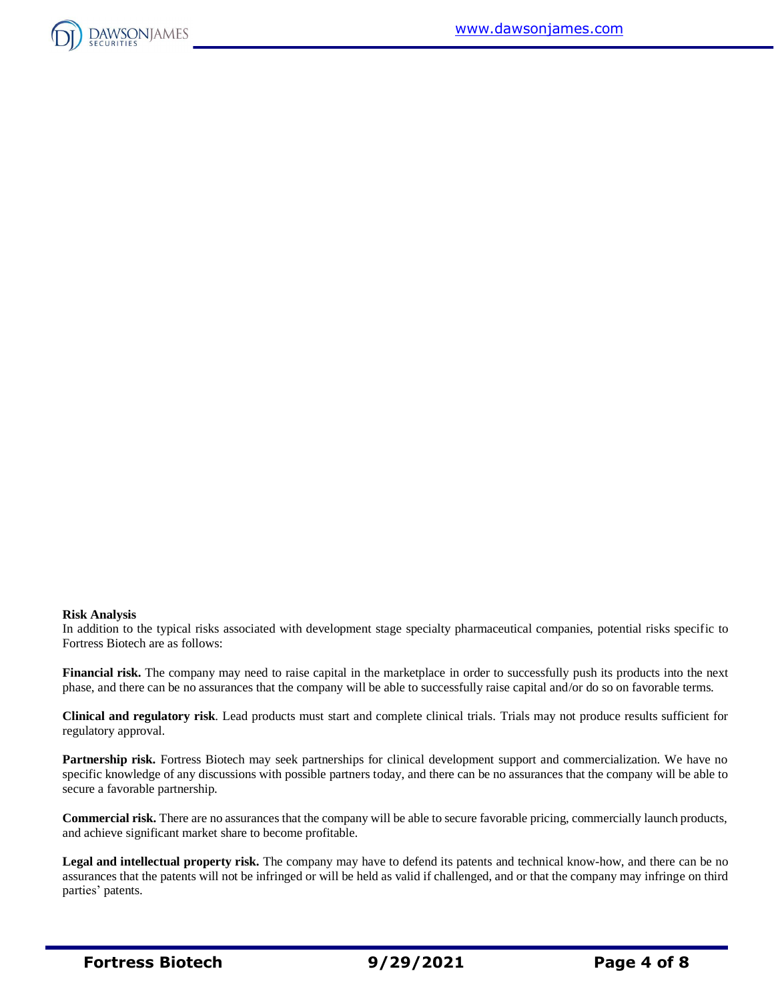

#### **Risk Analysis**

In addition to the typical risks associated with development stage specialty pharmaceutical companies, potential risks specific to Fortress Biotech are as follows:

**Financial risk.** The company may need to raise capital in the marketplace in order to successfully push its products into the next phase, and there can be no assurances that the company will be able to successfully raise capital and/or do so on favorable terms.

**Clinical and regulatory risk**. Lead products must start and complete clinical trials. Trials may not produce results sufficient for regulatory approval.

**Partnership risk.** Fortress Biotech may seek partnerships for clinical development support and commercialization. We have no specific knowledge of any discussions with possible partners today, and there can be no assurances that the company will be able to secure a favorable partnership.

**Commercial risk.** There are no assurances that the company will be able to secure favorable pricing, commercially launch products, and achieve significant market share to become profitable.

**Legal and intellectual property risk.** The company may have to defend its patents and technical know-how, and there can be no assurances that the patents will not be infringed or will be held as valid if challenged, and or that the company may infringe on third parties' patents.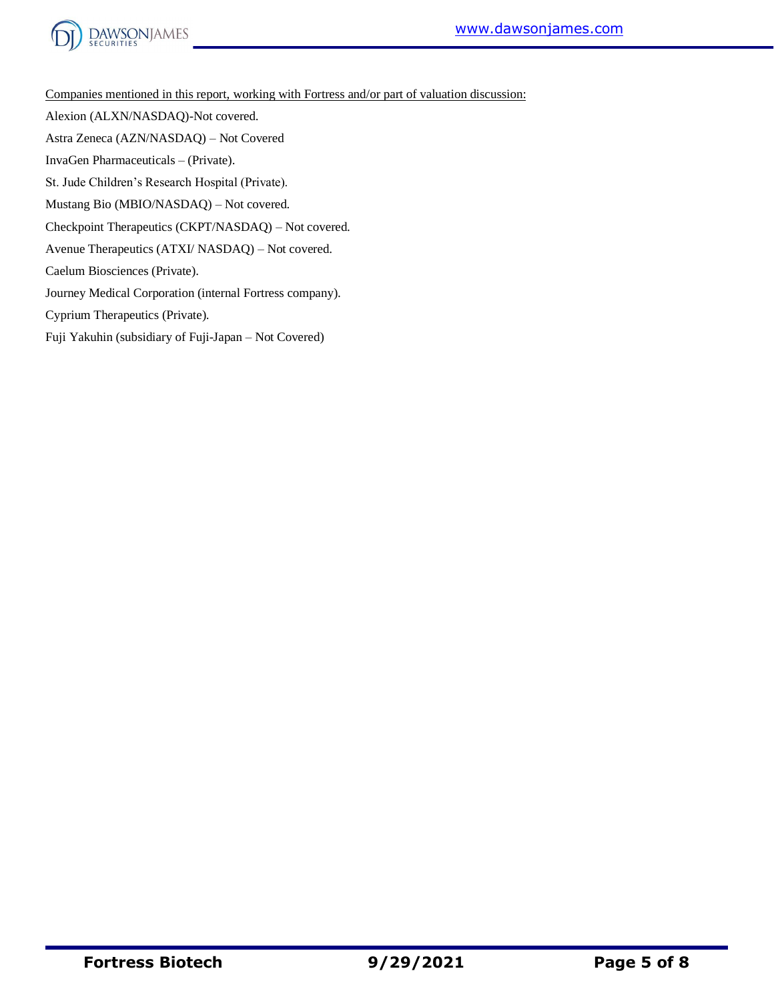

Companies mentioned in this report, working with Fortress and/or part of valuation discussion: Alexion (ALXN/NASDAQ)-Not covered. Astra Zeneca (AZN/NASDAQ) – Not Covered InvaGen Pharmaceuticals – (Private). St. Jude Children's Research Hospital (Private). Mustang Bio (MBIO/NASDAQ) – Not covered. Checkpoint Therapeutics (CKPT/NASDAQ) – Not covered. Avenue Therapeutics (ATXI/ NASDAQ) – Not covered. Caelum Biosciences (Private). Journey Medical Corporation (internal Fortress company). Cyprium Therapeutics (Private).

Fuji Yakuhin (subsidiary of Fuji-Japan – Not Covered)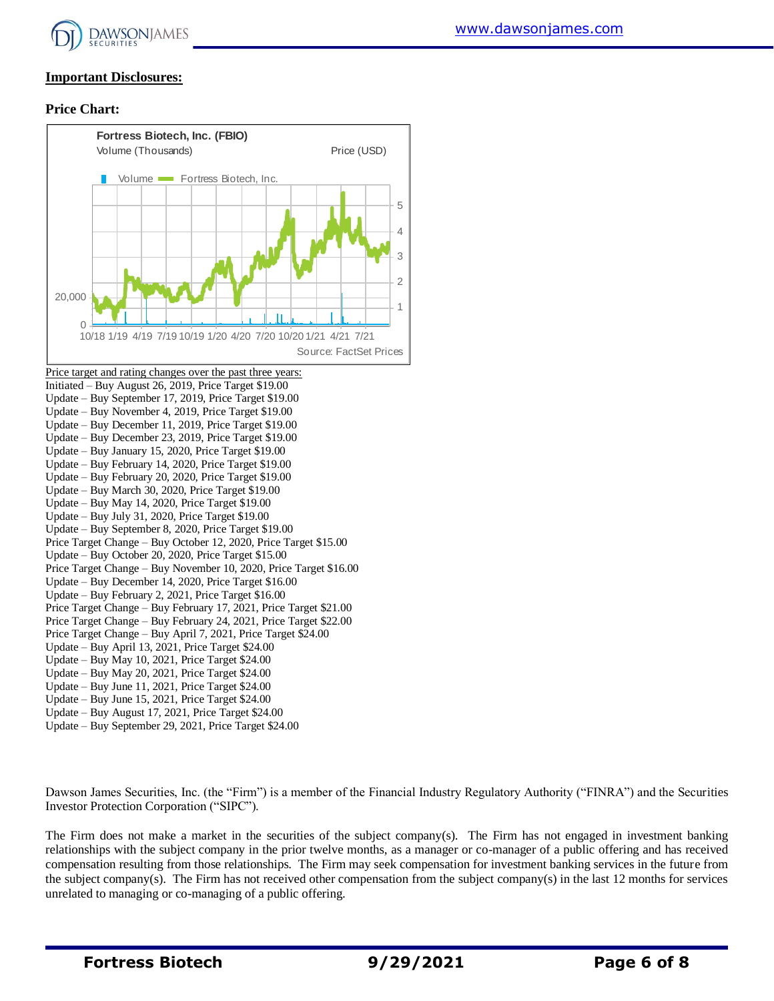

# **Important Disclosures:**

## **Price Chart:**



Dawson James Securities, Inc. (the "Firm") is a member of the Financial Industry Regulatory Authority ("FINRA") and the Securities Investor Protection Corporation ("SIPC").

The Firm does not make a market in the securities of the subject company(s). The Firm has not engaged in investment banking relationships with the subject company in the prior twelve months, as a manager or co-manager of a public offering and has received compensation resulting from those relationships. The Firm may seek compensation for investment banking services in the future from the subject company(s). The Firm has not received other compensation from the subject company(s) in the last 12 months for services unrelated to managing or co-managing of a public offering.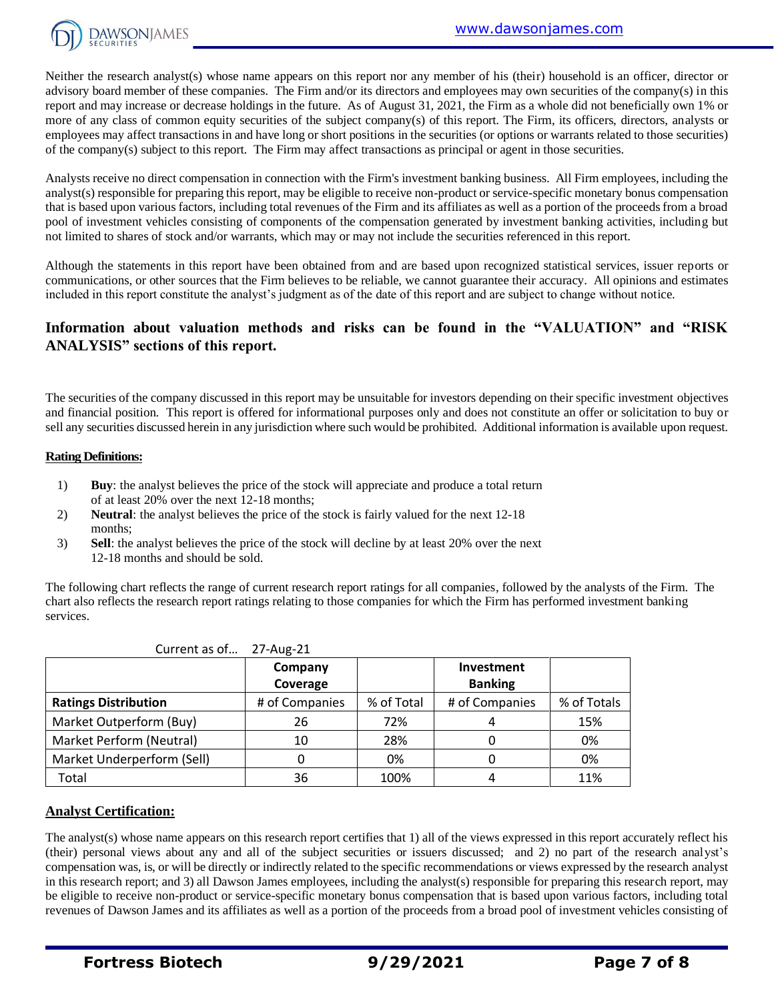

Neither the research analyst(s) whose name appears on this report nor any member of his (their) household is an officer, director or advisory board member of these companies. The Firm and/or its directors and employees may own securities of the company(s) in this report and may increase or decrease holdings in the future. As of August 31, 2021, the Firm as a whole did not beneficially own 1% or more of any class of common equity securities of the subject company(s) of this report. The Firm, its officers, directors, analysts or employees may affect transactions in and have long or short positions in the securities (or options or warrants related to those securities) of the company(s) subject to this report. The Firm may affect transactions as principal or agent in those securities.

Analysts receive no direct compensation in connection with the Firm's investment banking business. All Firm employees, including the analyst(s) responsible for preparing this report, may be eligible to receive non-product or service-specific monetary bonus compensation that is based upon various factors, including total revenues of the Firm and its affiliates as well as a portion of the proceeds from a broad pool of investment vehicles consisting of components of the compensation generated by investment banking activities, including but not limited to shares of stock and/or warrants, which may or may not include the securities referenced in this report.

Although the statements in this report have been obtained from and are based upon recognized statistical services, issuer reports or communications, or other sources that the Firm believes to be reliable, we cannot guarantee their accuracy. All opinions and estimates included in this report constitute the analyst's judgment as of the date of this report and are subject to change without notice.

# **Information about valuation methods and risks can be found in the "VALUATION" and "RISK ANALYSIS" sections of this report.**

The securities of the company discussed in this report may be unsuitable for investors depending on their specific investment objectives and financial position. This report is offered for informational purposes only and does not constitute an offer or solicitation to buy or sell any securities discussed herein in any jurisdiction where such would be prohibited. Additional information is available upon request.

## **Rating Definitions:**

- 1) **Buy**: the analyst believes the price of the stock will appreciate and produce a total return of at least 20% over the next 12-18 months;
- 2) **Neutral**: the analyst believes the price of the stock is fairly valued for the next 12-18 months;
- 3) **Sell**: the analyst believes the price of the stock will decline by at least 20% over the next 12-18 months and should be sold.

The following chart reflects the range of current research report ratings for all companies, followed by the analysts of the Firm. The chart also reflects the research report ratings relating to those companies for which the Firm has performed investment banking services.

| Current as of…              | Z/-AUR-ZI      |            |                |             |
|-----------------------------|----------------|------------|----------------|-------------|
|                             | Company        |            | Investment     |             |
|                             | Coverage       |            | <b>Banking</b> |             |
| <b>Ratings Distribution</b> | # of Companies | % of Total | # of Companies | % of Totals |
| Market Outperform (Buy)     | 26             | 72%        |                | 15%         |
| Market Perform (Neutral)    | 10             | 28%        |                | 0%          |
| Market Underperform (Sell)  |                | 0%         |                | 0%          |
| Total                       | 36             | 100%       |                | 11%         |

### Current as of… 27-Aug-21

## **Analyst Certification:**

The analyst(s) whose name appears on this research report certifies that 1) all of the views expressed in this report accurately reflect his (their) personal views about any and all of the subject securities or issuers discussed; and 2) no part of the research analyst's compensation was, is, or will be directly or indirectly related to the specific recommendations or views expressed by the research analyst in this research report; and 3) all Dawson James employees, including the analyst(s) responsible for preparing this research report, may be eligible to receive non-product or service-specific monetary bonus compensation that is based upon various factors, including total revenues of Dawson James and its affiliates as well as a portion of the proceeds from a broad pool of investment vehicles consisting of